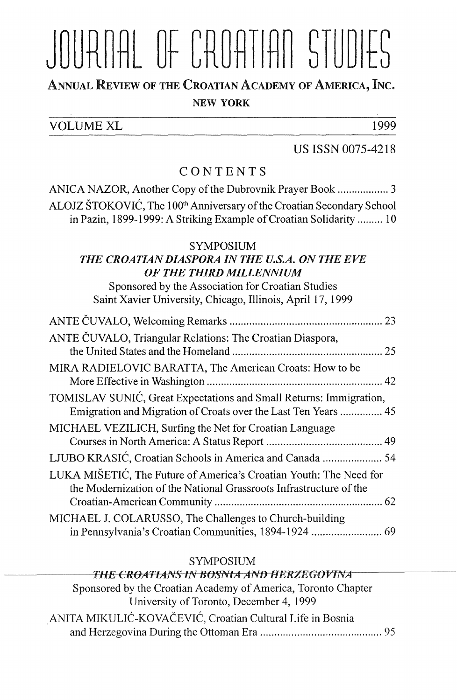# JOURNAL OF CROATIAN STUDIES

## ANNUAL REVIEW OF THE CROATIAN AcADEMY oF AMERICA, INc.

#### NEW YORK

| <b>VOLUME XL</b> |  |  |  |  | ഥറെ |
|------------------|--|--|--|--|-----|

#### US ISSN 0075-4218

### CONTENTS

ANICA NAZOR, Another Copy of the Dubrovnik Prayer Book .................. 3  $\overline{A}$ in Pazin, 1899-1999: A Striking Example of Croatian Solidarity ......... 10

#### SYMPOSIUM

#### *THE CROATIAN DIASPORA IN THE U.S.A. ON THE EVE OF THE THIRD MILLENNIUM*

Sponsored by the Association for Croatian Studies Saint Xavier University, Chicago, Illinois, April 17, 1999

| ANTE ČUVALO, Triangular Relations: The Croatian Diaspora,                                                                                |  |
|------------------------------------------------------------------------------------------------------------------------------------------|--|
| MIRA RADIELOVIC BARATTA, The American Croats: How to be                                                                                  |  |
| TOMISLAV SUNIĆ, Great Expectations and Small Returns: Immigration,<br>Emigration and Migration of Croats over the Last Ten Years  45     |  |
| MICHAEL VEZILICH, Surfing the Net for Croatian Language                                                                                  |  |
| LJUBO KRASIĆ, Croatian Schools in America and Canada  54                                                                                 |  |
| LUKA MIŠETIĆ, The Future of America's Croatian Youth: The Need for<br>the Modernization of the National Grassroots Infrastructure of the |  |
| MICHAEL J. COLARUSSO, The Challenges to Church-building                                                                                  |  |

#### SYMPOSIUM

#### **THE CROATIANS IN BOSNIA AND HERZEGOVINA** Sponsored by the Croatian Academy of America, Toronto Chapter University of Toronto, December 4, 1999  $\frac{1}{\sqrt{N}}$ and Herzegovina During the Ottoman Era ........................................... 95